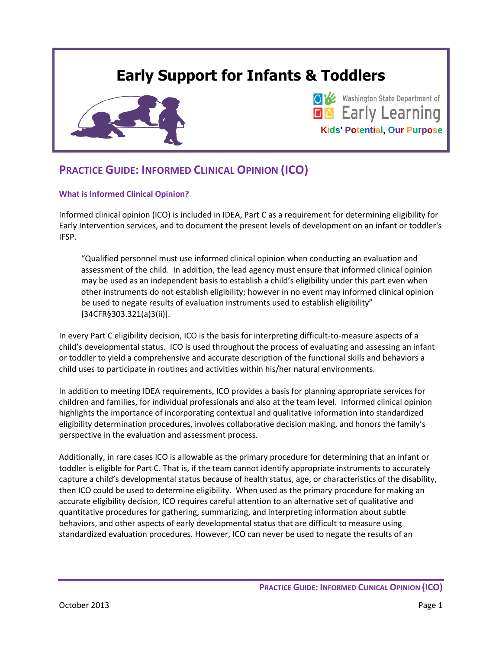# **Early Support for Infants & Toddlers**





# **PRACTICE GUIDE: INFORMED CLINICAL OPINION (ICO)**

#### **What is Informed Clinical Opinion?**

Informed clinical opinion (ICO) is included in IDEA, Part C as a requirement for determining eligibility for Early Intervention services, and to document the present levels of development on an infant or toddler's IFSP.

"Qualified personnel must use informed clinical opinion when conducting an evaluation and assessment of the child. In addition, the lead agency must ensure that informed clinical opinion may be used as an independent basis to establish a child's eligibility under this part even when other instruments do not establish eligibility; however in no event may informed clinical opinion be used to negate results of evaluation instruments used to establish eligibility" [34CFR§303.321(a)3(ii)].

In every Part C eligibility decision, ICO is the basis for interpreting difficult-to-measure aspects of a child's developmental status. ICO is used throughout the process of evaluating and assessing an infant or toddler to yield a comprehensive and accurate description of the functional skills and behaviors a child uses to participate in routines and activities within his/her natural environments.

In addition to meeting IDEA requirements, ICO provides a basis for planning appropriate services for children and families, for individual professionals and also at the team level. Informed clinical opinion highlights the importance of incorporating contextual and qualitative information into standardized eligibility determination procedures, involves collaborative decision making, and honors the family's perspective in the evaluation and assessment process.

Additionally, in rare cases ICO is allowable as the primary procedure for determining that an infant or toddler is eligible for Part C. That is, if the team cannot identify appropriate instruments to accurately capture a child's developmental status because of health status, age, or characteristics of the disability, then ICO could be used to determine eligibility. When used as the primary procedure for making an accurate eligibility decision, ICO requires careful attention to an alternative set of qualitative and quantitative procedures for gathering, summarizing, and interpreting information about subtle behaviors, and other aspects of early developmental status that are difficult to measure using standardized evaluation procedures. However, ICO can never be used to negate the results of an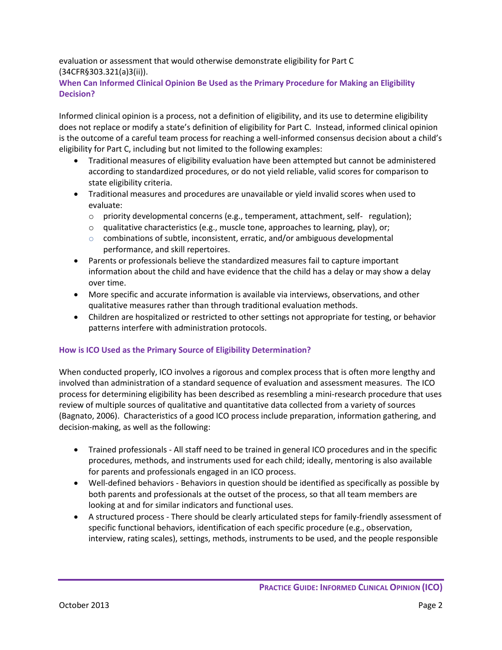evaluation or assessment that would otherwise demonstrate eligibility for Part C (34CFR§303.321(a)3(ii)).

**When Can Informed Clinical Opinion Be Used as the Primary Procedure for Making an Eligibility Decision?**

Informed clinical opinion is a process, not a definition of eligibility, and its use to determine eligibility does not replace or modify a state's definition of eligibility for Part C. Instead, informed clinical opinion is the outcome of a careful team process for reaching a well-informed consensus decision about a child's eligibility for Part C, including but not limited to the following examples:

- Traditional measures of eligibility evaluation have been attempted but cannot be administered according to standardized procedures, or do not yield reliable, valid scores for comparison to state eligibility criteria.
- Traditional measures and procedures are unavailable or yield invalid scores when used to evaluate:
	- $\circ$  priority developmental concerns (e.g., temperament, attachment, self- regulation);
	- $\circ$  qualitative characteristics (e.g., muscle tone, approaches to learning, play), or;
	- o combinations of subtle, inconsistent, erratic, and/or ambiguous developmental performance, and skill repertoires.
- Parents or professionals believe the standardized measures fail to capture important information about the child and have evidence that the child has a delay or may show a delay over time.
- More specific and accurate information is available via interviews, observations, and other qualitative measures rather than through traditional evaluation methods.
- Children are hospitalized or restricted to other settings not appropriate for testing, or behavior patterns interfere with administration protocols.

# **How is ICO Used as the Primary Source of Eligibility Determination?**

When conducted properly, ICO involves a rigorous and complex process that is often more lengthy and involved than administration of a standard sequence of evaluation and assessment measures. The ICO process for determining eligibility has been described as resembling a mini-research procedure that uses review of multiple sources of qualitative and quantitative data collected from a variety of sources (Bagnato, 2006). Characteristics of a good ICO process include preparation, information gathering, and decision-making, as well as the following:

- Trained professionals All staff need to be trained in general ICO procedures and in the specific procedures, methods, and instruments used for each child; ideally, mentoring is also available for parents and professionals engaged in an ICO process.
- Well-defined behaviors Behaviors in question should be identified as specifically as possible by both parents and professionals at the outset of the process, so that all team members are looking at and for similar indicators and functional uses.
- A structured process There should be clearly articulated steps for family-friendly assessment of specific functional behaviors, identification of each specific procedure (e.g., observation, interview, rating scales), settings, methods, instruments to be used, and the people responsible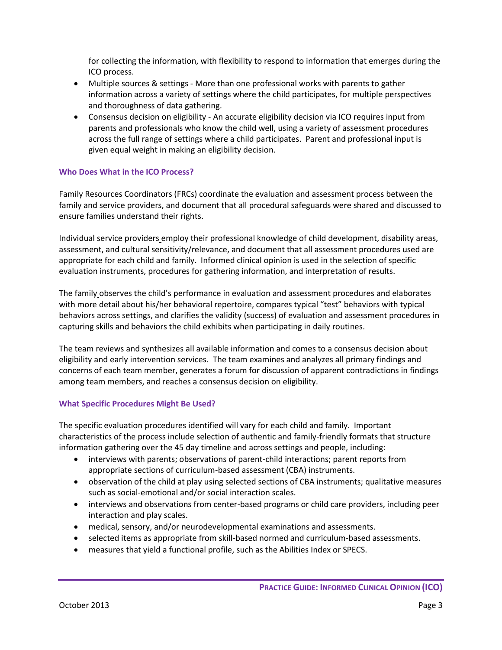for collecting the information, with flexibility to respond to information that emerges during the ICO process.

- Multiple sources & settings More than one professional works with parents to gather information across a variety of settings where the child participates, for multiple perspectives and thoroughness of data gathering.
- Consensus decision on eligibility An accurate eligibility decision via ICO requires input from parents and professionals who know the child well, using a variety of assessment procedures across the full range of settings where a child participates. Parent and professional input is given equal weight in making an eligibility decision.

# **Who Does What in the ICO Process?**

Family Resources Coordinators (FRCs) coordinate the evaluation and assessment process between the family and service providers, and document that all procedural safeguards were shared and discussed to ensure families understand their rights.

Individual service providers employ their professional knowledge of child development, disability areas, assessment, and cultural sensitivity/relevance, and document that all assessment procedures used are appropriate for each child and family. Informed clinical opinion is used in the selection of specific evaluation instruments, procedures for gathering information, and interpretation of results.

The family observes the child's performance in evaluation and assessment procedures and elaborates with more detail about his/her behavioral repertoire, compares typical "test" behaviors with typical behaviors across settings, and clarifies the validity (success) of evaluation and assessment procedures in capturing skills and behaviors the child exhibits when participating in daily routines.

The team reviews and synthesizes all available information and comes to a consensus decision about eligibility and early intervention services. The team examines and analyzes all primary findings and concerns of each team member, generates a forum for discussion of apparent contradictions in findings among team members, and reaches a consensus decision on eligibility.

# **What Specific Procedures Might Be Used?**

The specific evaluation procedures identified will vary for each child and family. Important characteristics of the process include selection of authentic and family-friendly formats that structure information gathering over the 45 day timeline and across settings and people, including:

- interviews with parents; observations of parent-child interactions; parent reports from appropriate sections of curriculum-based assessment (CBA) instruments.
- observation of the child at play using selected sections of CBA instruments; qualitative measures such as social-emotional and/or social interaction scales.
- interviews and observations from center-based programs or child care providers, including peer interaction and play scales.
- medical, sensory, and/or neurodevelopmental examinations and assessments.
- selected items as appropriate from skill-based normed and curriculum-based assessments.
- measures that yield a functional profile, such as the Abilities Index or SPECS.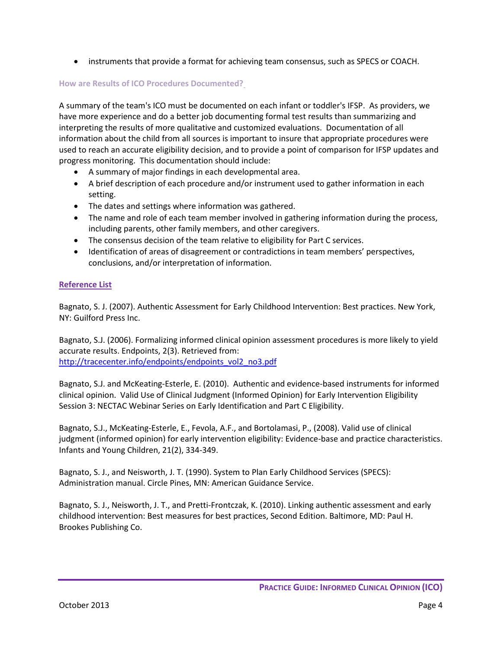• instruments that provide a format for achieving team consensus, such as SPECS or COACH.

#### **How are Results of ICO Procedures Documented?**

A summary of the team's ICO must be documented on each infant or toddler's IFSP. As providers, we have more experience and do a better job documenting formal test results than summarizing and interpreting the results of more qualitative and customized evaluations. Documentation of all information about the child from all sources is important to insure that appropriate procedures were used to reach an accurate eligibility decision, and to provide a point of comparison for IFSP updates and progress monitoring. This documentation should include:

- A summary of major findings in each developmental area.
- A brief description of each procedure and/or instrument used to gather information in each setting.
- The dates and settings where information was gathered.
- The name and role of each team member involved in gathering information during the process, including parents, other family members, and other caregivers.
- The consensus decision of the team relative to eligibility for Part C services.
- Identification of areas of disagreement or contradictions in team members' perspectives, conclusions, and/or interpretation of information.

#### **Reference List**

Bagnato, S. J. (2007). Authentic Assessment for Early Childhood Intervention: Best practices. New York, NY: Guilford Press Inc.

Bagnato, S.J. (2006). Formalizing informed clinical opinion assessment procedures is more likely to yield accurate results. Endpoints, 2(3). Retrieved from: [http://tracecenter.info/endpoints/endpoints\\_vol2\\_no3.pdf](http://tracecenter.info/endpoints/endpoints_vol2_no3.pdf)

Bagnato, S.J. and McKeating-Esterle, E. (2010). Authentic and evidence-based instruments for informed clinical opinion. Valid Use of Clinical Judgment (Informed Opinion) for Early Intervention Eligibility Session 3: NECTAC Webinar Series on Early Identification and Part C Eligibility.

Bagnato, S.J., McKeating-Esterle, E., Fevola, A.F., and Bortolamasi, P., (2008). Valid use of clinical judgment (informed opinion) for early intervention eligibility: Evidence-base and practice characteristics. Infants and Young Children, 21(2), 334-349.

Bagnato, S. J., and Neisworth, J. T. (1990). System to Plan Early Childhood Services (SPECS): Administration manual. Circle Pines, MN: American Guidance Service.

Bagnato, S. J., Neisworth, J. T., and Pretti-Frontczak, K. (2010). Linking authentic assessment and early childhood intervention: Best measures for best practices, Second Edition. Baltimore, MD: Paul H. Brookes Publishing Co.